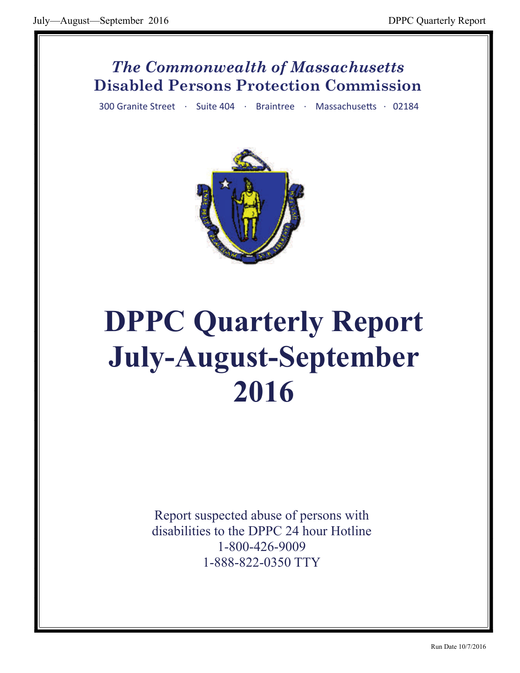## *The Commonwealth of Massachusetts* **Disabled Persons Protection Commission**

300 Granite Street · Suite 404 · Braintree · Massachusetts · 02184



# **DPPC Quarterly Report July-August-September 2016**

Report suspected abuse of persons with disabilities to the DPPC 24 hour Hotline 1-800-426-9009 1-888-822-0350 TTY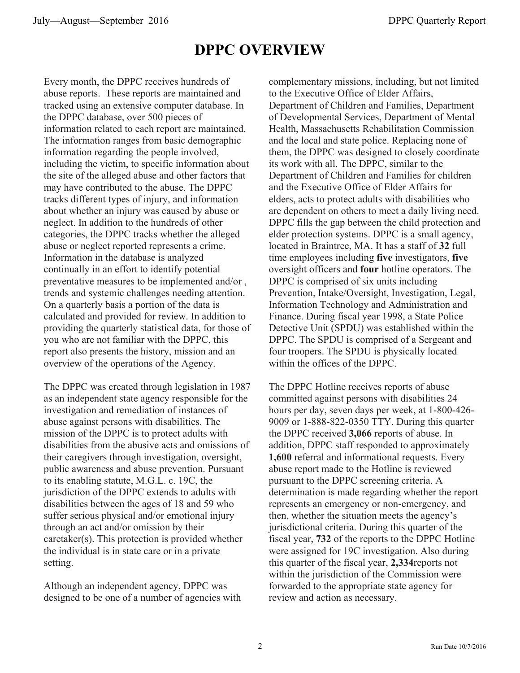## **DPPC OVERVIEW**

Every month, the DPPC receives hundreds of abuse reports. These reports are maintained and tracked using an extensive computer database. In the DPPC database, over 500 pieces of information related to each report are maintained. The information ranges from basic demographic information regarding the people involved, including the victim, to specific information about the site of the alleged abuse and other factors that may have contributed to the abuse. The DPPC tracks different types of injury, and information about whether an injury was caused by abuse or neglect. In addition to the hundreds of other categories, the DPPC tracks whether the alleged abuse or neglect reported represents a crime. Information in the database is analyzed continually in an effort to identify potential preventative measures to be implemented and/or , trends and systemic challenges needing attention. On a quarterly basis a portion of the data is calculated and provided for review. In addition to providing the quarterly statistical data, for those of you who are not familiar with the DPPC, this report also presents the history, mission and an overview of the operations of the Agency.

The DPPC was created through legislation in 1987 as an independent state agency responsible for the investigation and remediation of instances of abuse against persons with disabilities. The mission of the DPPC is to protect adults with disabilities from the abusive acts and omissions of their caregivers through investigation, oversight, public awareness and abuse prevention. Pursuant to its enabling statute, M.G.L. c. 19C, the jurisdiction of the DPPC extends to adults with disabilities between the ages of 18 and 59 who suffer serious physical and/or emotional injury through an act and/or omission by their caretaker(s). This protection is provided whether the individual is in state care or in a private setting.

Although an independent agency, DPPC was designed to be one of a number of agencies with complementary missions, including, but not limited to the Executive Office of Elder Affairs, Department of Children and Families, Department of Developmental Services, Department of Mental Health, Massachusetts Rehabilitation Commission and the local and state police. Replacing none of them, the DPPC was designed to closely coordinate its work with all. The DPPC, similar to the Department of Children and Families for children and the Executive Office of Elder Affairs for elders, acts to protect adults with disabilities who are dependent on others to meet a daily living need. DPPC fills the gap between the child protection and elder protection systems. DPPC is a small agency, located in Braintree, MA. It has a staff of **32** full time employees including **five** investigators, **five**  oversight officers and **four** hotline operators. The DPPC is comprised of six units including Prevention, Intake/Oversight, Investigation, Legal, Information Technology and Administration and Finance. During fiscal year 1998, a State Police Detective Unit (SPDU) was established within the DPPC. The SPDU is comprised of a Sergeant and four troopers. The SPDU is physically located within the offices of the DPPC.

The DPPC Hotline receives reports of abuse committed against persons with disabilities 24 hours per day, seven days per week, at 1-800-426- 9009 or 1-888-822-0350 TTY. During this quarter the DPPC received **3,066** reports of abuse. In addition, DPPC staff responded to approximately **1,600** referral and informational requests. Every abuse report made to the Hotline is reviewed pursuant to the DPPC screening criteria. A determination is made regarding whether the report represents an emergency or non-emergency, and then, whether the situation meets the agency's jurisdictional criteria. During this quarter of the fiscal year, **732** of the reports to the DPPC Hotline were assigned for 19C investigation. Also during this quarter of the fiscal year, **2,334**reports not within the jurisdiction of the Commission were forwarded to the appropriate state agency for review and action as necessary.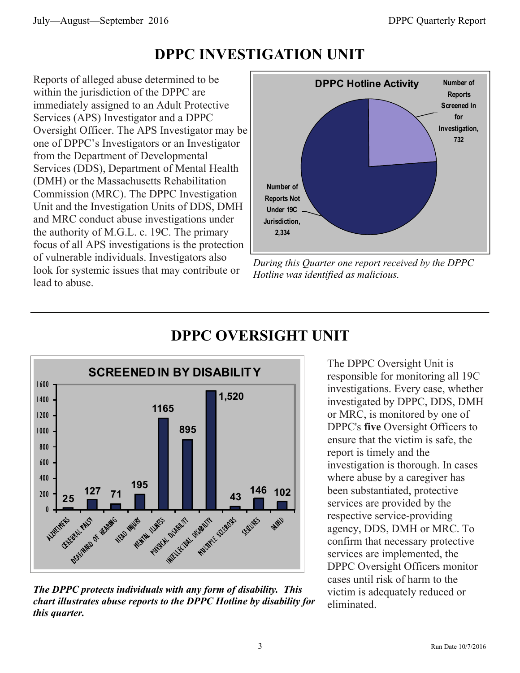## **DPPC INVESTIGATION UNIT**

Reports of alleged abuse determined to be within the jurisdiction of the DPPC are immediately assigned to an Adult Protective Services (APS) Investigator and a DPPC Oversight Officer. The APS Investigator may be one of DPPC's Investigators or an Investigator from the Department of Developmental Services (DDS), Department of Mental Health (DMH) or the Massachusetts Rehabilitation Commission (MRC). The DPPC Investigation Unit and the Investigation Units of DDS, DMH and MRC conduct abuse investigations under the authority of M.G.L. c. 19C. The primary focus of all APS investigations is the protection of vulnerable individuals. Investigators also look for systemic issues that may contribute or lead to abuse.



*During this Quarter one report received by the DPPC Hotline was identified as malicious.* 



## **DPPC OVERSIGHT UNIT**

The DPPC Oversight Unit is responsible for monitoring all 19C investigations. Every case, whether investigated by DPPC, DDS, DMH or MRC, is monitored by one of DPPC's **five** Oversight Officers to ensure that the victim is safe, the report is timely and the investigation is thorough. In cases where abuse by a caregiver has been substantiated, protective services are provided by the respective service-providing agency, DDS, DMH or MRC. To confirm that necessary protective services are implemented, the DPPC Oversight Officers monitor cases until risk of harm to the victim is adequately reduced or eliminated.

*The DPPC protects individuals with any form of disability. This chart illustrates abuse reports to the DPPC Hotline by disability for this quarter.*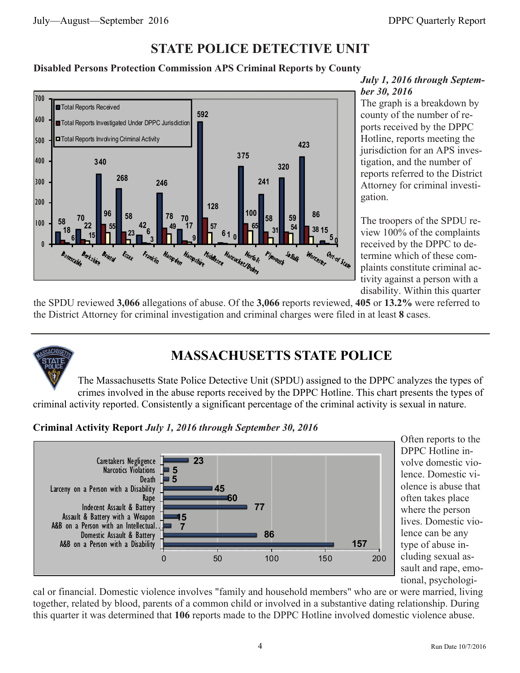### **STATE POLICE DETECTIVE UNIT**

#### **Disabled Persons Protection Commission APS Criminal Reports by County**



#### *July 1, 2016 through September 30, 2016*

The graph is a breakdown by county of the number of reports received by the DPPC Hotline, reports meeting the jurisdiction for an APS investigation, and the number of reports referred to the District Attorney for criminal investigation.

The troopers of the SPDU review 100% of the complaints received by the DPPC to determine which of these complaints constitute criminal activity against a person with a disability. Within this quarter

the SPDU reviewed **3,066** allegations of abuse. Of the **3,066** reports reviewed, **405** or **13.2%** were referred to the District Attorney for criminal investigation and criminal charges were filed in at least **8** cases.



## **MASSACHUSETTS STATE POLICE**

The Massachusetts State Police Detective Unit (SPDU) assigned to the DPPC analyzes the types of crimes involved in the abuse reports received by the DPPC Hotline. This chart presents the types of criminal activity reported. Consistently a significant percentage of the criminal activity is sexual in nature.

**Criminal Activity Report** *July 1, 2016 through September 30, 2016*



Often reports to the DPPC Hotline involve domestic violence. Domestic violence is abuse that often takes place where the person lives. Domestic violence can be any type of abuse including sexual assault and rape, emotional, psychologi-

cal or financial. Domestic violence involves "family and household members" who are or were married, living together, related by blood, parents of a common child or involved in a substantive dating relationship. During this quarter it was determined that **106** reports made to the DPPC Hotline involved domestic violence abuse.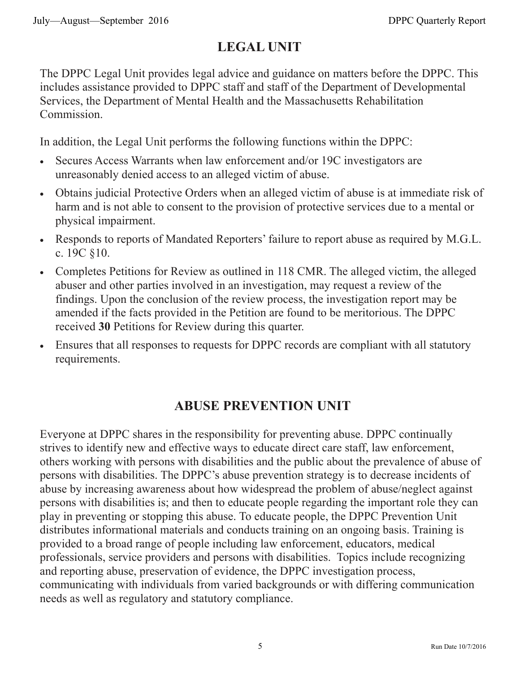## **LEGAL UNIT**

The DPPC Legal Unit provides legal advice and guidance on matters before the DPPC. This includes assistance provided to DPPC staff and staff of the Department of Developmental Services, the Department of Mental Health and the Massachusetts Rehabilitation Commission.

In addition, the Legal Unit performs the following functions within the DPPC:

- Secures Access Warrants when law enforcement and/or 19C investigators are unreasonably denied access to an alleged victim of abuse.
- Obtains judicial Protective Orders when an alleged victim of abuse is at immediate risk of harm and is not able to consent to the provision of protective services due to a mental or physical impairment.
- Responds to reports of Mandated Reporters' failure to report abuse as required by M.G.L. c. 19C §10.
- Completes Petitions for Review as outlined in 118 CMR. The alleged victim, the alleged abuser and other parties involved in an investigation, may request a review of the findings. Upon the conclusion of the review process, the investigation report may be amended if the facts provided in the Petition are found to be meritorious. The DPPC received **30** Petitions for Review during this quarter.
- Ensures that all responses to requests for DPPC records are compliant with all statutory requirements.

## **ABUSE PREVENTION UNIT**

Everyone at DPPC shares in the responsibility for preventing abuse. DPPC continually strives to identify new and effective ways to educate direct care staff, law enforcement, others working with persons with disabilities and the public about the prevalence of abuse of persons with disabilities. The DPPC's abuse prevention strategy is to decrease incidents of abuse by increasing awareness about how widespread the problem of abuse/neglect against persons with disabilities is; and then to educate people regarding the important role they can play in preventing or stopping this abuse. To educate people, the DPPC Prevention Unit distributes informational materials and conducts training on an ongoing basis. Training is provided to a broad range of people including law enforcement, educators, medical professionals, service providers and persons with disabilities. Topics include recognizing and reporting abuse, preservation of evidence, the DPPC investigation process, communicating with individuals from varied backgrounds or with differing communication needs as well as regulatory and statutory compliance.